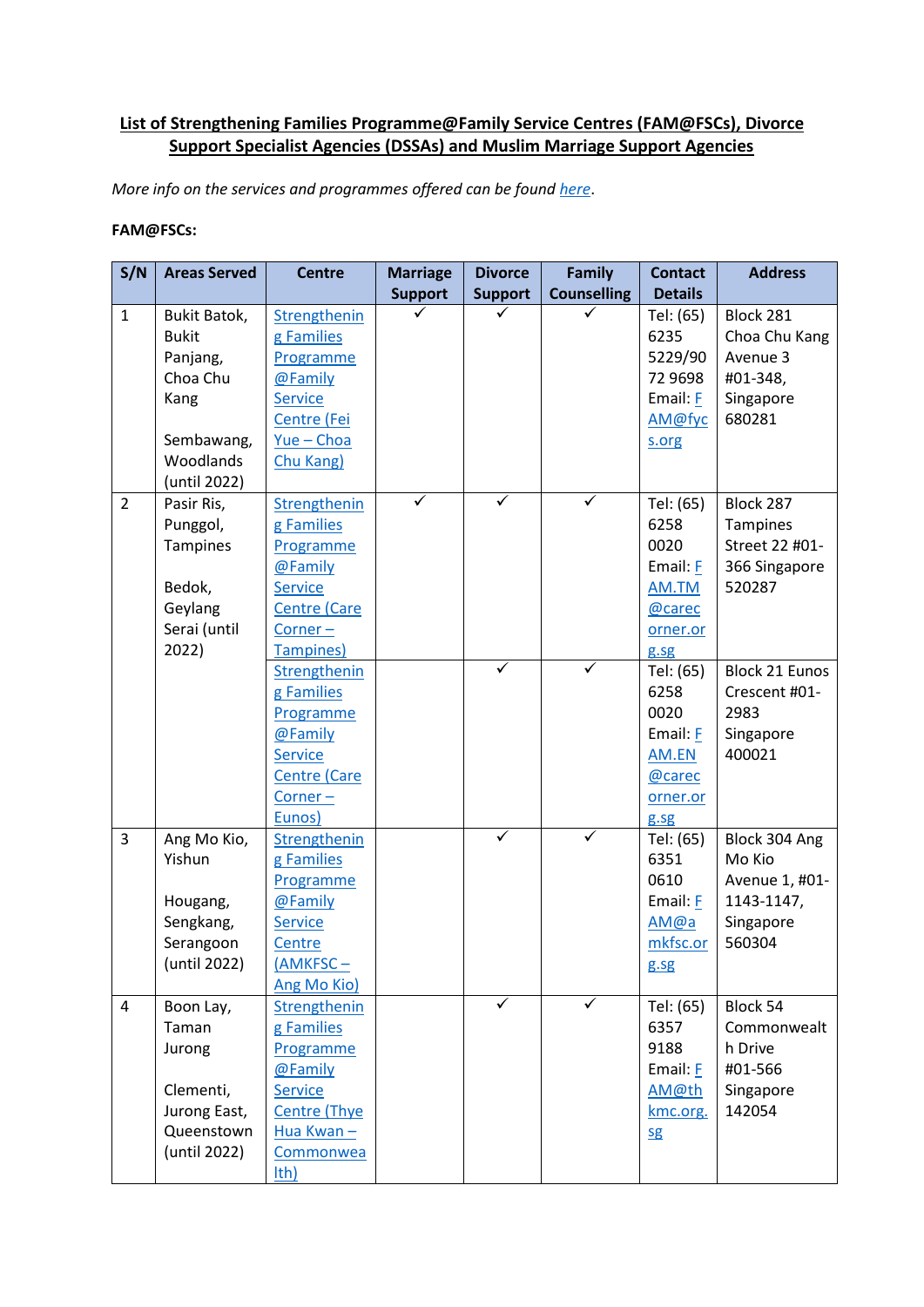## **List of Strengthening Families Programme@Family Service Centres (FAM@FSCs), Divorce Support Specialist Agencies (DSSAs) and Muslim Marriage Support Agencies**

*More info on the services and programmes offered can be foun[d here](http://www.msf.gov.sg/FAMatFSC)*.

## **FAM@FSCs:**

| S/N            | <b>Areas Served</b> | <b>Centre</b>        | <b>Marriage</b> | <b>Divorce</b> | <b>Family</b>      | <b>Contact</b> | <b>Address</b>        |
|----------------|---------------------|----------------------|-----------------|----------------|--------------------|----------------|-----------------------|
|                |                     |                      | <b>Support</b>  | <b>Support</b> | <b>Counselling</b> | <b>Details</b> |                       |
| $\mathbf 1$    | <b>Bukit Batok,</b> | Strengthenin         |                 |                |                    | Tel: (65)      | Block 281             |
|                | <b>Bukit</b>        | g Families           |                 |                |                    | 6235           | Choa Chu Kang         |
|                | Panjang,            | Programme            |                 |                |                    | 5229/90        | Avenue 3              |
|                | Choa Chu            | @Family              |                 |                |                    | 72 9698        | #01-348,              |
|                | Kang                | Service              |                 |                |                    | Email: F       | Singapore             |
|                |                     | Centre (Fei          |                 |                |                    | AM@fyc         | 680281                |
|                | Sembawang,          | $Yue - Choa$         |                 |                |                    | s.org          |                       |
|                | Woodlands           | Chu Kang)            |                 |                |                    |                |                       |
|                | (until 2022)        |                      |                 |                |                    |                |                       |
| $\overline{2}$ | Pasir Ris,          | Strengthenin         | $\checkmark$    | $\checkmark$   | ✓                  | Tel: (65)      | Block 287             |
|                | Punggol,            | g Families           |                 |                |                    | 6258           | Tampines              |
|                | Tampines            | Programme            |                 |                |                    | 0020           | Street 22 #01-        |
|                |                     | @Family              |                 |                |                    | Email: F       | 366 Singapore         |
|                | Bedok,              | <b>Service</b>       |                 |                |                    | AM.TM          | 520287                |
|                | Geylang             | <b>Centre (Care</b>  |                 |                |                    | @carec         |                       |
|                | Serai (until        | $Corner -$           |                 |                |                    | orner.or       |                       |
|                | 2022)               | Tampines)            |                 |                |                    | g.sg           |                       |
|                |                     | Strengthenin         |                 | $\checkmark$   | ✓                  | Tel: (65)      | <b>Block 21 Eunos</b> |
|                |                     | g Families           |                 |                |                    | 6258           | Crescent #01-         |
|                |                     | Programme            |                 |                |                    | 0020           | 2983                  |
|                |                     | @Family              |                 |                |                    | Email: F       | Singapore             |
|                |                     | <b>Service</b>       |                 |                |                    | AM.EN          | 400021                |
|                |                     | <b>Centre (Care</b>  |                 |                |                    | @carec         |                       |
|                |                     | Corner-              |                 |                |                    | orner.or       |                       |
|                |                     | Eunos)               |                 |                |                    | g.sg           |                       |
| 3              | Ang Mo Kio,         | Strengthenin         |                 | $\checkmark$   | ✓                  | Tel: (65)      | Block 304 Ang         |
|                | Yishun              | g Families           |                 |                |                    | 6351           | Mo Kio                |
|                |                     | Programme            |                 |                |                    | 0610           | Avenue 1, #01-        |
|                | Hougang,            | @Family              |                 |                |                    | Email: F       | 1143-1147,            |
|                | Sengkang,           | <b>Service</b>       |                 |                |                    | AM@a           | Singapore             |
|                | Serangoon           | Centre               |                 |                |                    | mkfsc.or       | 560304                |
|                | (until 2022)        | (AMKFSC-             |                 |                |                    | g.sg           |                       |
|                |                     | Ang Mo Kio)          |                 |                |                    |                |                       |
| 4              | Boon Lay,           | Strengthenin         |                 | $\checkmark$   | ✓                  | Tel: (65)      | Block 54              |
|                | Taman               | g Families           |                 |                |                    | 6357           | Commonwealt           |
|                | Jurong              | Programme            |                 |                |                    | 9188           | h Drive               |
|                |                     | @Family              |                 |                |                    | Email: E       | #01-566               |
|                | Clementi,           | <b>Service</b>       |                 |                |                    | AM@th          | Singapore             |
|                | Jurong East,        | <b>Centre (Thye)</b> |                 |                |                    | kmc.org.       | 142054                |
|                | Queenstown          | Hua Kwan-            |                 |                |                    | <b>Sg</b>      |                       |
|                | (until 2022)        | Commonwea            |                 |                |                    |                |                       |
|                |                     | I <sub>th</sub>      |                 |                |                    |                |                       |